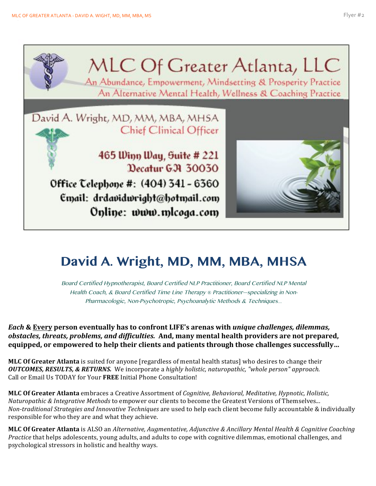

## **David A. Wright, MD, MM, MBA, MHSA**

Board Certified Hypnotherapist, Board Certified NLP Practitioner, Board Certified NLP Mental Health Coach, & Board Certified Time Line Therapy *®* Practitioner—specializing in Non-Pharmacologic, Non-Psychotropic, Psychoanalytic Methods & Techniques*…*

*Each* & Every person eventually has to confront LIFE's arenas with *unique challenges, dilemmas, obstacles, threats, problems, and difficulties.* And, many mental health providers are not prepared, **equipped, or empowered to help their clients and patients through those challenges successfully...** 

**MLC Of Greater Atlanta** is suited for anyone [regardless of mental health status] who desires to change their *OUTCOMES, RESULTS, & RETURNS.* We incorporate a highly holistic, naturopathic, "whole person" approach. Call or Email Us TODAY for Your FREE Initial Phone Consultation!

**MLC Of Greater Atlanta** embraces a Creative Assortment of *Cognitive, Behavioral, Meditative, Hypnotic, Holistic, Naturopathic & Integrative Methods* to empower our clients to become the Greatest Versions of Themselves... *Non-traditional Strategies and Innovative Techniques* are used to help each client become fully accountable & individually responsible for who they are and what they achieve.

**MLC Of Greater Atlanta** is ALSO an *Alternative, Augmentative, Adjunctive & Ancillary Mental Health & Cognitive Coaching Practice* that helps adolescents, young adults, and adults to cope with cognitive dilemmas, emotional challenges, and psychological stressors in holistic and healthy ways.